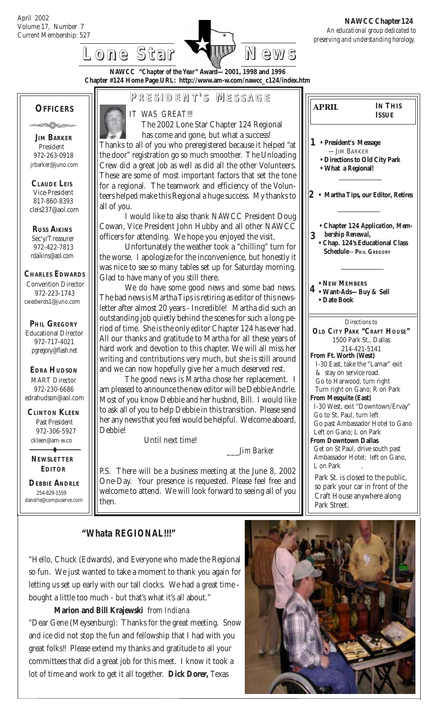Current Membership: 527 *An educational group dedicated to preserving and understanding horology.*  **NAWCC Chapter 124**



**NAWCC "***Chapter of the Year***" Award—2001, 1998 and 1996 Chapter #124 Home Page URL: http://www.am-w.com/nawcc\_c124/index.htm**

#### **OFFICERS**

ാഥംഗം

 **JIM BARKER** President 972-263-0918 jrbarker@juno.com

 **CLAUDE LEIS** Vice-President 817-860-8393 cleis237@aol.com

 **RUSS AIKINS** Sec'y/Treasurer 972-422-7813 rdaikins@aol.com

**CHARLES EDWARDS**

Convention Director 972-223-1743 cwedwrds1@juno.com

 **PHIL GREGORY** Educational Director 972-717-4021

#### **EDRA HUDSON** MART Director 972-230-6686 edrahudson@aol.com

pgregory@flash.net

 **CLINTON KLEEN** Past President 972-306-5927 ckleen@am-w.co

 **NEWSLETTER EDITOR**

 $\ddot{\phantom{0}}$ 

 **DEBBIE ANDRLE** 254-829-1559 dandrle@compuserve.com **P RESIDENT RESIDENT' S M ESSAGE**

*IT WAS GREAT!!!*

 The 2002 Lone Star Chapter 124 Regional has come and gone, but what a success! Thanks to all of you who preregistered because it helped "at the door" registration go so much smoother. The Unloading Crew did a great job as well as did all the other Volunteers. These are some of most important factors that set the tone for a regional. The teamwork and efficiency of the Volunteers helped make this Regional a huge success. My thanks to all of you.

I would like to also thank NAWCC President Doug Cowan, Vice President John Hubby and all other NAWCC officers for attending. We hope you enjoyed the visit.

Unfortunately the weather took a "chilling" turn for the worse. I apologize for the inconvenience, but honestly it was nice to see so many tables set up for Saturday morning. Glad to have many of you still there.

We do have some good news and some bad news. The bad news is Martha Tips is retiring as editor of this newsletter after almost 20 years - Incredible! Martha did such an outstanding job quietly behind the scenes for such a long period of time. She is the only editor Chapter 124 has ever had. All our thanks and gratitude to Martha for all these years of hard work and devotion to this chapter. We will all miss her writing and contributions very much, but she is still around and we can now hopefully give her a much deserved rest.

The good news is Martha chose her replacement. I am pleased to announce the new editor will be Debbie Andrle. Most of you know Debbie and her husbnd, Bill. I would like to ask all of you to help Debbie in this transition. Please send her any news that you feel would be helpful. Welcome aboard, Debbie!

Until next time!

\_\_\_*Jim Barker*

P.S. There will be a business meeting at the June 8, 2002 One-Day. Your presence is requested. Please feel free and welcome to attend. We will look forward to seeing all of you then.

**• President's Message 1** —JIM BARKER **• Directions to Old City Park • What a Regional! 4 • Want-Ads—Buy & Sell 2 • Martha Tips, our Editor, Retires • Chapter 124** *Application, Mem bership Renewal,* **• NEW MEMBERS • Date Book 3** Directions to **OLD CITY PARK "CRAFT HOUSE"** 1500 Park St., Dallas 214-421-5141 **From Ft. Worth (West)** I-30 East, take the "Lamar" exit & stay on service road. Go to Harwood, turn right Turn right on Gano; R on Park **From Mesquite (East)** I-30 West, exit "Downtown/Ervay" Go to St. Paul, turn left Go past Ambassador Hotel to Gano Left on Gano; L on Park **From Downtown Dallas** Get on St Paul, drive south past Ambassador Hotel; left on Gano, L on Park **IN THIS ISSUE • Chap. 124's Educational Class Schedule**—**PHIL GREGORY** *april*

Park St. is closed to the public, so park your car in front of the Craft House anywhere along Park Street.

 *"Whata REGIONAL!!!"*

"Hello, Chuck (Edwards), and Everyone who made the Regional so fun. We just wanted to take a moment to thank you again for letting us set up early with our tall clocks. We had a great time bought a little too much - but that's what it's all about."

**Marion and Bill Krajewski** f*rom Indiana "*Dear Gene (Meysenburg): Thanks for the great meeting. Snow and ice did not stop the fun and fellowship that I had with you great folks!! Please extend my thanks and gratitude to all your committees that did a great job for this meet. I know it took a lot of time and work to get it all together. **Dick Dorer,** Texas

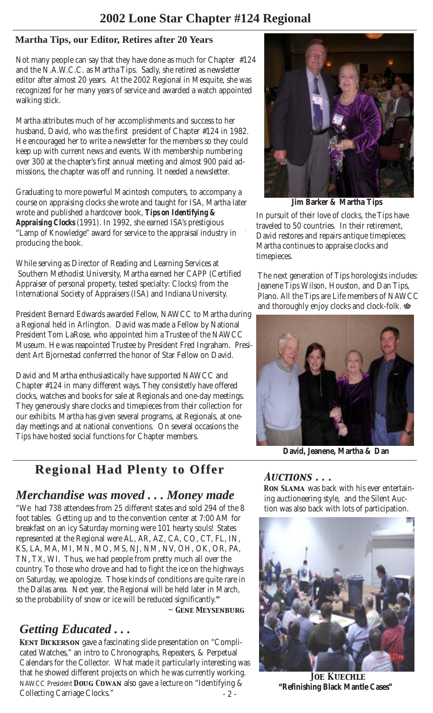### **Martha Tips, our Editor, Retires after 20 Years**

Not many people can say that they have done as much for Chapter #124 and the N.A.W.C.C. as Martha Tips. Sadly, she retired as newsletter editor after almost 20 years. At the 2002 Regional in Mesquite, she was recognized for her many years of service and awarded a watch appointed walking stick.

Martha attributes much of her accomplishments and success to her husband, David, who was the first president of Chapter #124 in 1982. He encouraged her to write a newsletter for the members so they could keep up with current news and events. With membership numbering over 300 at the chapter's first annual meeting and almost 900 paid admissions, the chapter was off and running. It needed a newsletter.

Graduating to more powerful Macintosh computers, to accompany a course on appraising clocks she wrote and taught for ISA, Martha later wrote and published a hardcover book, *Tips on Identifying & Appraising Clocks* (1991). In 1992, she earned ISA's prestigious "Lamp of Knowledge" award for service to the appraisal industry in producing the book.

While serving as Director of Reading and Learning Services at Southern Methodist University, Martha earned her CAPP (Certified Appraiser of personal property, tested specialty: Clocks) from the International Society of Appraisers (ISA) and Indiana University.

President Bernard Edwards awarded Fellow, NAWCC to Martha during a Regional held in Arlington. David was made a Fellow by National President Tom LaRose, who appointed him a Trustee of the NAWCC Museum. He was reapointed Trustee by President Fred Ingraham. President Art Bjornestad conferrred the honor of Star Fellow on David.

David and Martha enthusiastically have supported NAWCC and Chapter #124 in many different ways. They consistetly have offered clocks, watches and books for sale at Regionals and one-day meetings. They generously share clocks and timepieces from their collection for our exhibits. Martha has given several programs, at Regionals, at oneday meetings and at national conventions. On several occasions the Tips have hosted social functions for Chapter members.

# **Regional Had Plenty to Offer Regional Had Plenty to Offer**

## *Merchandise was moved . . . Money made*

"We had 738 attendees from 25 different states and sold 294 of the 8 foot tables. Getting up and to the convention center at 7:00 AM for breakfast on an icy Saturday morning were 101 hearty souls! States represented at the Regional were AL, AR, AZ, CA, CO, CT, FL, IN, KS, LA, MA, MI, MN, MO, MS, NJ, NM, NV, OH, OK, OR, PA, TN, TX, WI. Thus, we had people from pretty much all over the country. To those who drove and had to fight the ice on the highways on Saturday, we apologize. Those kinds of conditions are quite rare in the Dallas area. Next year, the Regional will be held later in March, so the probability of snow or ice will be reduced significantly.*"*

*~ Gene Meysenburg*

# *Getting Educated . . .*

- 2 - *Kent Dickerson* gave a fascinating slide presentation on "Complicated Watches," an intro to Chronographs, Repeaters, & Perpetual Calendars for the Collector. What made it particularly interesting was that he showed different projects on which he was currently working. NAWCC President *Doug Cowan* also gave a lecture on "Identifying & Collecting Carriage Clocks."



 **Jim Barker & Martha Tips**

In pursuit of their love of clocks, the Tips have traveled to 50 countries. In their retirement, David restores and repairs antique timepieces; Martha continues to appraise clocks and timepieces.

The next generation of Tips horologists includes: Jeanene Tips Wilson, Houston, and Dan Tips, Plano. All the Tips are Life members of NAWCC and thoroughly enjoy clocks and clock-folk.  $\mathbf{\Phi}$ 



 **David, Jeanene, Martha & Dan**

#### *Auctions . . .*

*Ron Slama* was back with his ever entertaining auctioneering style, and the Silent Auction was also back with lots of participation.



*Joe Kuechle* **"Refinishing Black Mantle Cases"**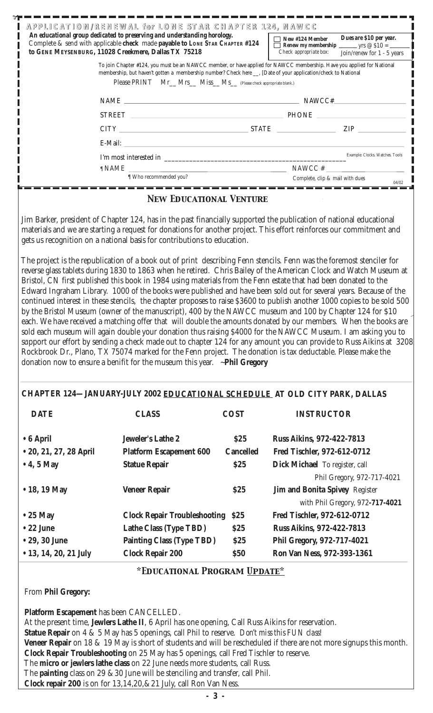|                                                                                                                                                              | An educational group dedicated to preserving and understanding horology.<br>Complete & send with applicable check made payable to LONE STAR CHAPTER #124<br>to GENE MEYSENBURG, 11028 Creekmere, Dallas TX 75218 | APPLICATION/RENEWAL for LONE STAR CHAPTER 124, NAWCC | Dues are \$10 per year.<br>New #124 Member<br>Check appropriate box:<br>Join/renew for 1 - 5 years                                                                                                                                                                                                                                                                                                                                                                     |
|--------------------------------------------------------------------------------------------------------------------------------------------------------------|------------------------------------------------------------------------------------------------------------------------------------------------------------------------------------------------------------------|------------------------------------------------------|------------------------------------------------------------------------------------------------------------------------------------------------------------------------------------------------------------------------------------------------------------------------------------------------------------------------------------------------------------------------------------------------------------------------------------------------------------------------|
|                                                                                                                                                              | membership, but haven't gotten a membership number? Check here ___, [Date of your application/check to National<br>Please PRINT Mr_Mrs_Miss_Ms_(Please check appropriate blank.)                                 |                                                      | To join Chapter #124, you must be an NAWCC member, or have applied for NAWCC membership. Have you applied for National                                                                                                                                                                                                                                                                                                                                                 |
|                                                                                                                                                              |                                                                                                                                                                                                                  |                                                      | NAME $\qquad \qquad$ NAWCC#                                                                                                                                                                                                                                                                                                                                                                                                                                            |
|                                                                                                                                                              |                                                                                                                                                                                                                  |                                                      |                                                                                                                                                                                                                                                                                                                                                                                                                                                                        |
|                                                                                                                                                              |                                                                                                                                                                                                                  |                                                      | $CITY$ $ZIP$                                                                                                                                                                                                                                                                                                                                                                                                                                                           |
|                                                                                                                                                              |                                                                                                                                                                                                                  |                                                      |                                                                                                                                                                                                                                                                                                                                                                                                                                                                        |
|                                                                                                                                                              |                                                                                                                                                                                                                  |                                                      |                                                                                                                                                                                                                                                                                                                                                                                                                                                                        |
|                                                                                                                                                              |                                                                                                                                                                                                                  |                                                      | $\begin{tabular}{ll} $\P$ NAME & \quad \quad$NAWCC $\#$ \quad \quad$\\ \hline $\P$ Who recommended you? & \quad \quad$Complete, clip $\& mail with dues \end{tabular}$                                                                                                                                                                                                                                                                                                 |
|                                                                                                                                                              |                                                                                                                                                                                                                  |                                                      | 04/02                                                                                                                                                                                                                                                                                                                                                                                                                                                                  |
|                                                                                                                                                              | <b>NEW EDUCATIONAL VENTURE</b>                                                                                                                                                                                   |                                                      |                                                                                                                                                                                                                                                                                                                                                                                                                                                                        |
|                                                                                                                                                              | gets us recognition on a national basis for contributions to education.                                                                                                                                          |                                                      | materials and we are starting a request for donations for another project. This effort reinforces our commitment and<br>The project is the republication of a book out of print describing Fenn stencils. Fenn was the foremost stenciler for<br>reverse glass tablets during 1830 to 1863 when he retired. Chris Bailey of the American Clock and Watch Museum at                                                                                                     |
|                                                                                                                                                              |                                                                                                                                                                                                                  |                                                      | Edward Ingraham Library. 1000 of the books were published and have been sold out for several years. Because of the<br>continued interest in these stencils, the chapter proposes to raise \$3600 to publish another 1000 copies to be sold 500<br>by the Bristol Museum (owner of the manuscript), 400 by the NAWCC museum and 100 by Chapter 124 for \$10                                                                                                             |
|                                                                                                                                                              | donation now to ensure a benifit for the museum this year. ~ Phil Gregory                                                                                                                                        |                                                      | each. We have received a matching offer that will double the amounts donated by our members. When the books are<br>sold each museum will again double your donation thus raising \$4000 for the NAWCC Museum. I am asking you to<br>support our effort by sending a check made out to chapter 124 for any amount you can provide to Russ Aikins at 3208<br>Rockbrook Dr., Plano, TX 75074 marked for the Fenn project. The donation is tax deductable. Please make the |
| <b>DATE</b>                                                                                                                                                  | <b>CLASS</b>                                                                                                                                                                                                     | <b>COST</b>                                          | CHAPTER 124-JANUARY-JULY 2002 EDUCATIONAL SCHEDULE AT OLD CITY PARK, DALLAS<br><b>INSTRUCTOR</b>                                                                                                                                                                                                                                                                                                                                                                       |
|                                                                                                                                                              |                                                                                                                                                                                                                  |                                                      |                                                                                                                                                                                                                                                                                                                                                                                                                                                                        |
|                                                                                                                                                              | <b>Jeweler's Lathe 2</b>                                                                                                                                                                                         | \$25                                                 | <b>Russ Aikins, 972-422-7813</b>                                                                                                                                                                                                                                                                                                                                                                                                                                       |
|                                                                                                                                                              | <b>Platform Escapement 600</b>                                                                                                                                                                                   | <b>Cancelled</b>                                     | Fred Tischler, 972-612-0712                                                                                                                                                                                                                                                                                                                                                                                                                                            |
|                                                                                                                                                              | <b>Statue Repair</b>                                                                                                                                                                                             | \$25                                                 | Dick Michael To register, call                                                                                                                                                                                                                                                                                                                                                                                                                                         |
|                                                                                                                                                              | <b>Veneer Repair</b>                                                                                                                                                                                             | \$25                                                 | Phil Gregory, 972-717-4021<br>Jim and Bonita Spivey Register                                                                                                                                                                                                                                                                                                                                                                                                           |
|                                                                                                                                                              |                                                                                                                                                                                                                  |                                                      | with Phil Gregory, 972-717-4021                                                                                                                                                                                                                                                                                                                                                                                                                                        |
|                                                                                                                                                              | <b>Clock Repair Troubleshooting</b>                                                                                                                                                                              | \$25                                                 | Fred Tischler, 972-612-0712                                                                                                                                                                                                                                                                                                                                                                                                                                            |
|                                                                                                                                                              | Lathe Class (Type TBD)                                                                                                                                                                                           | \$25                                                 | <b>Russ Aikins, 972-422-7813</b>                                                                                                                                                                                                                                                                                                                                                                                                                                       |
|                                                                                                                                                              | <b>Painting Class (Type TBD)</b>                                                                                                                                                                                 | \$25                                                 | Phil Gregory, 972-717-4021                                                                                                                                                                                                                                                                                                                                                                                                                                             |
|                                                                                                                                                              | <b>Clock Repair 200</b>                                                                                                                                                                                          | \$50                                                 | Ron Van Ness, 972-393-1361                                                                                                                                                                                                                                                                                                                                                                                                                                             |
| • 6 April<br>• 20, 21, 27, 28 April<br>$\bullet$ 4, 5 May<br>• 18, 19 May<br>$\bullet$ 25 May<br>$\bullet$ 22 June<br>• 29, 30 June<br>• 13, 14, 20, 21 July | *EDUCATIONAL PROGRAM UPDATE*                                                                                                                                                                                     |                                                      |                                                                                                                                                                                                                                                                                                                                                                                                                                                                        |

**Statue Repair** on 4 & 5 May has 5 openings, call Phil to reserve. *Don't miss this FUN class!*

 **Veneer Repair** on 18 & 19 May is short of students and will be rescheduled if there are not more signups this month. **Clock Repair Troubleshooting** on 25 May has 5 openings, call Fred Tischler to reserve.

The **micro or jewlers lathe class** on 22 June needs more students, call Russ.

The **painting** class on 29 &30 June will be stenciling and transfer, call Phil.

**Clock repair 200** is on for 13,14,20,&21 July, call Ron Van Ness.